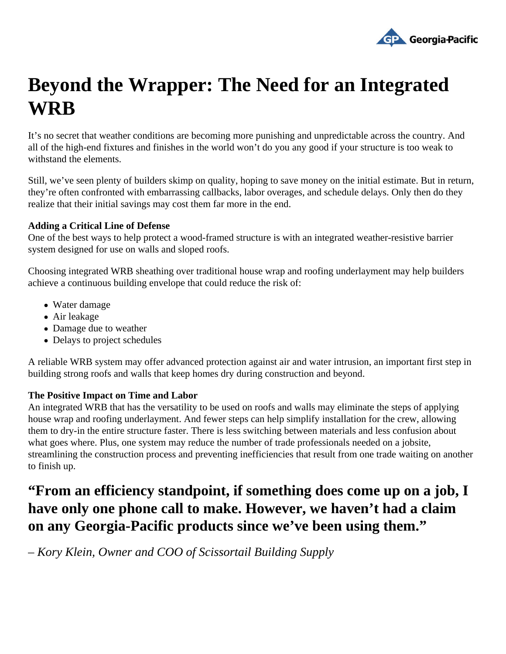

## **Beyond the Wrapper: The Need for an Integrated WRB**

It's no secret that weather conditions are becoming more punishing and unpredictable across the country. And all of the high-end fixtures and finishes in the world won't do you any good if your structure is too weak to withstand the elements.

Still, we've seen plenty of builders skimp on quality, hoping to save money on the initial estimate. But in return, they're often confronted with embarrassing callbacks, labor overages, and schedule delays. Only then do they realize that their initial savings may cost them far more in the end.

## **Adding a Critical Line of Defense**

One of the best ways to help protect a wood-framed structure is with an integrated weather-resistive barrier system designed for use on walls and sloped roofs.

Choosing integrated WRB sheathing over traditional house wrap and roofing underlayment may help builders achieve a continuous building envelope that could reduce the risk of:

- Water damage
- Air leakage
- Damage due to weather
- Delays to project schedules

A reliable WRB system may offer advanced protection against air and water intrusion, an important first step in building strong roofs and walls that keep homes dry during construction and beyond.

## **The Positive Impact on Time and Labor**

An integrated WRB that has the versatility to be used on roofs and walls may eliminate the steps of applying house wrap and roofing underlayment. And fewer steps can help simplify installation for the crew, allowing them to dry-in the entire structure faster. There is less switching between materials and less confusion about what goes where. Plus, one system may reduce the number of trade professionals needed on a jobsite, streamlining the construction process and preventing inefficiencies that result from one trade waiting on another to finish up.

## **"From an efficiency standpoint, if something does come up on a job, I have only one phone call to make. However, we haven't had a claim on any Georgia-Pacific products since we've been using them."**

*– Kory Klein, Owner and COO of Scissortail Building Supply*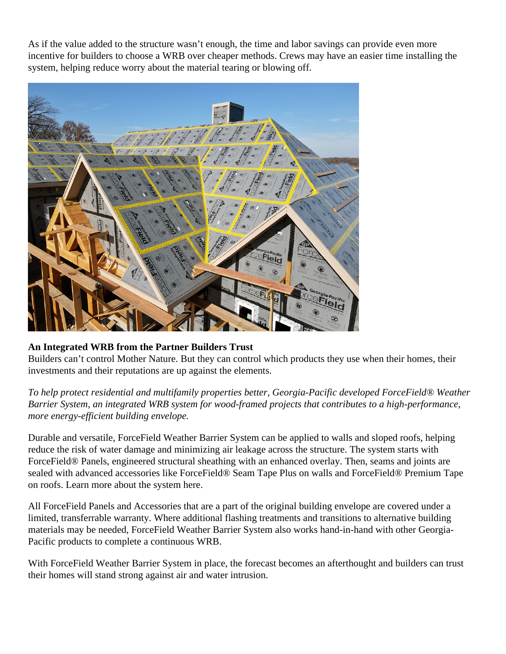As if the value added to the structure wasn't enough, the time and labor savings can provide even more incentive for builders to choose a WRB over cheaper methods. Crews may have an easier time installing the system, helping reduce worry about the material tearing or blowing off.

An Integrated WRB from the Partner Builders Trust

Builders can't control Mother Nature. But they can control which products they use when their homes, their investments and their reputations are up against the elements.

To help protect residential and multifamily properties better, Georgia-Pacific developed ForceField® Weather Barrier System, an integrated WRB system for wood-framed projects that contributes to a high-performance, more energy-efficient building envelope.

Durable and versatile, ForceField Weather Barrier System can be applied to walls and sloped roofs, helping reduce the risk of water damage and minimizing air leakage across the structure. The system starts with ForceField® Panels, engineered structural sheathing with an enhanced overlay. Then, seams and joints are sealed with advanced accessories like ForceField® Seam Tape Plus on walls and ForceField® Premium Tap on roofs[. Learn more about the system he](https://buildgp.com/forcefield/)re.

All ForceField Panels and Accessories that are a part of the original building envelope are covered under a limited, transferrable warranty. Where additional flashing treatments and transitions to alternative building materials may be needed, ForceField Weather Barrier System also works hand-in-hand with other Georgia-Pacific products to complete a continuous WRB.

With ForceField Weather Barrier System in place, the forecast becomes an afterthought and builders can trust their homes will stand strong against air and water intrusion.